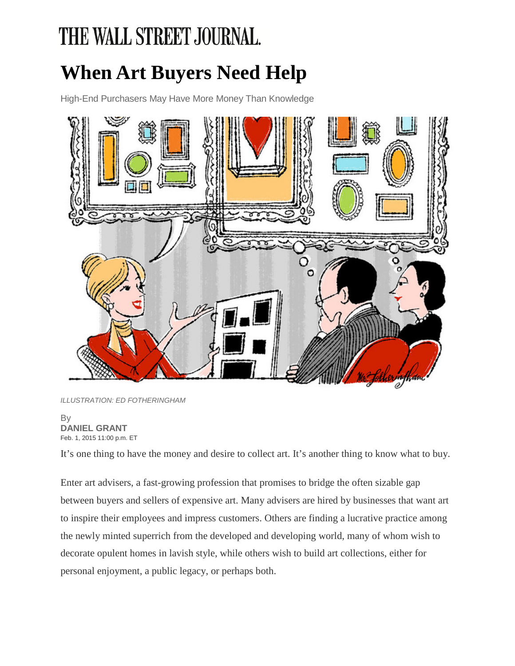### **When Art Buyers Need Help**

High-End Purchasers May Have More Money Than Knowledge



*ILLUSTRATION: ED FOTHERINGHAM*

#### By **DANIEL GRANT** Feb. 1, 2015 11:00 p.m. ET

It's one thing to have the money and desire to collect art. It's another thing to know what to buy.

Enter art advisers, a fast-growing profession that promises to bridge the often sizable gap between buyers and sellers of expensive art. Many advisers are hired by businesses that want art to inspire their employees and impress customers. Others are finding a lucrative practice among the newly minted superrich from the developed and developing world, many of whom wish to decorate opulent homes in lavish style, while others wish to build art collections, either for personal enjoyment, a public legacy, or perhaps both.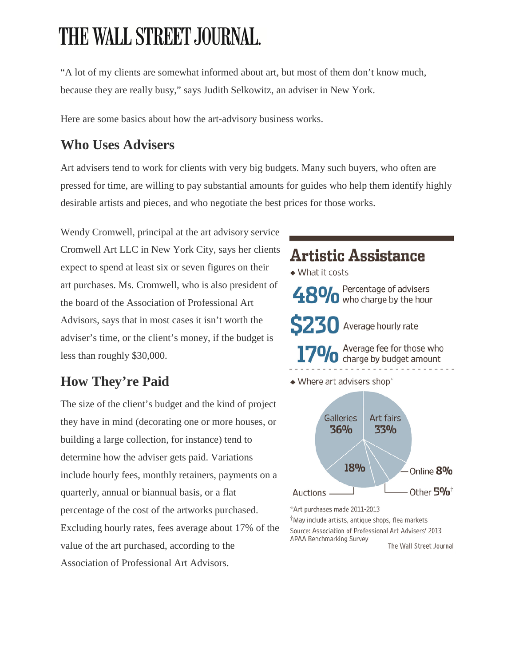"A lot of my clients are somewhat informed about art, but most of them don't know much, because they are really busy," says Judith Selkowitz, an adviser in New York.

Here are some basics about how the art-advisory business works.

#### **Who Uses Advisers**

Art advisers tend to work for clients with very big budgets. Many such buyers, who often are pressed for time, are willing to pay substantial amounts for guides who help them identify highly desirable artists and pieces, and who negotiate the best prices for those works.

Wendy Cromwell, principal at the art advisory service Cromwell Art LLC in New York City, says her clients expect to spend at least six or seven figures on their art purchases. Ms. Cromwell, who is also president of the board of the Association of Professional Art Advisors, says that in most cases it isn't worth the adviser's time, or the client's money, if the budget is less than roughly \$30,000.

### **How They're Paid**

The size of the client's budget and the kind of project they have in mind (decorating one or more houses, or building a large collection, for instance) tend to determine how the adviser gets paid. Variations include hourly fees, monthly retainers, payments on a quarterly, annual or biannual basis, or a flat percentage of the cost of the artworks purchased. Excluding hourly rates, fees average about 17% of the value of the art purchased, according to the Association of Professional Art Advisors.



<sup>†</sup>May include artists, antique shops, flea markets Source: Association of Professional Art Advisers' 2013 APAA Benchmarking Survey The Wall Street Journal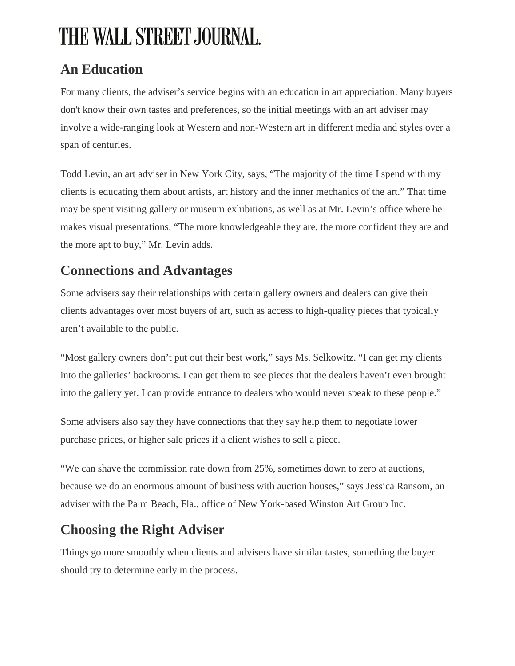### **An Education**

For many clients, the adviser's service begins with an education in art appreciation. Many buyers don't know their own tastes and preferences, so the initial meetings with an art adviser may involve a wide-ranging look at Western and non-Western art in different media and styles over a span of centuries.

Todd Levin, an art adviser in New York City, says, "The majority of the time I spend with my clients is educating them about artists, art history and the inner mechanics of the art." That time may be spent visiting gallery or museum exhibitions, as well as at Mr. Levin's office where he makes visual presentations. "The more knowledgeable they are, the more confident they are and the more apt to buy," Mr. Levin adds.

### **Connections and Advantages**

Some advisers say their relationships with certain gallery owners and dealers can give their clients advantages over most buyers of art, such as access to high-quality pieces that typically aren't available to the public.

"Most gallery owners don't put out their best work," says Ms. Selkowitz. "I can get my clients into the galleries' backrooms. I can get them to see pieces that the dealers haven't even brought into the gallery yet. I can provide entrance to dealers who would never speak to these people."

Some advisers also say they have connections that they say help them to negotiate lower purchase prices, or higher sale prices if a client wishes to sell a piece.

"We can shave the commission rate down from 25%, sometimes down to zero at auctions, because we do an enormous amount of business with auction houses," says Jessica Ransom, an adviser with the Palm Beach, Fla., office of New York-based Winston Art Group Inc.

### **Choosing the Right Adviser**

Things go more smoothly when clients and advisers have similar tastes, something the buyer should try to determine early in the process.